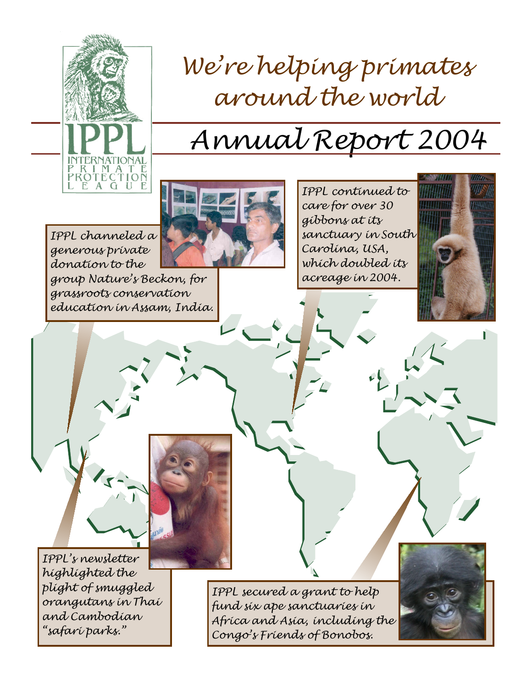

# We're helping primates around the world

# Annual Report 2004



IPPL channeled a generous private donation to the group Nature's Beckon, for grassroots conservation education in Assam, India.

IPPL continued to care for over 30 gibbons at its sanctuary in South Carolina, USA, which doubled its acreage in 2004.





IPPL secured a grant to help fund six ape sanctuaries in Africa and Asia, including the Congo's Friends of Bonobos.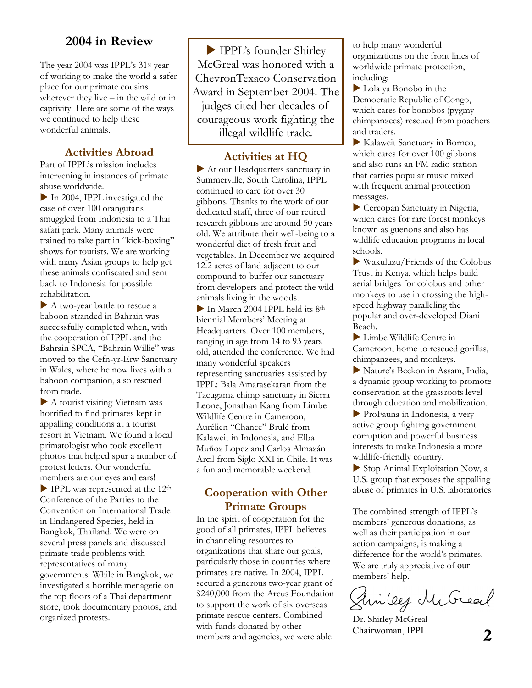# **2004 in Review**

The year 2004 was IPPL's 31st year of working to make the world a safer place for our primate cousins wherever they live – in the wild or in captivity. Here are some of the ways we continued to help these wonderful animals.

# **Activities Abroad**

Part of IPPL's mission includes intervening in instances of primate abuse worldwide.

 $\blacktriangleright$  In 2004, IPPL investigated the case of over 100 orangutans smuggled from Indonesia to a Thai safari park. Many animals were trained to take part in "kick-boxing" shows for tourists. We are working with many Asian groups to help get these animals confiscated and sent back to Indonesia for possible rehabilitation.

A two-year battle to rescue a baboon stranded in Bahrain was successfully completed when, with the cooperation of IPPL and the Bahrain SPCA, "Bahrain Willie" was moved to the Cefn-yr-Erw Sanctuary in Wales, where he now lives with a baboon companion, also rescued from trade.

 $\blacktriangleright$  A tourist visiting Vietnam was horrified to find primates kept in appalling conditions at a tourist resort in Vietnam. We found a local primatologist who took excellent photos that helped spur a number of protest letters. Our wonderful members are our eyes and ears!  $\blacktriangleright$  IPPL was represented at the 12<sup>th</sup> Conference of the Parties to the Convention on International Trade in Endangered Species, held in Bangkok, Thailand. We were on several press panels and discussed primate trade problems with representatives of many governments. While in Bangkok, we investigated a horrible menagerie on the top floors of a Thai department store, took documentary photos, and organized protests.

IPPL's founder Shirley McGreal was honored with a ChevronTexaco Conservation Award in September 2004. The judges cited her decades of courageous work fighting the illegal wildlife trade.

### **Activities at HQ**

 $\blacktriangleright$  At our Headquarters sanctuary in Summerville, South Carolina, IPPL continued to care for over 30 gibbons. Thanks to the work of our dedicated staff, three of our retired research gibbons are around 50 years old. We attribute their well-being to a wonderful diet of fresh fruit and vegetables. In December we acquired 12.2 acres of land adjacent to our compound to buffer our sanctuary from developers and protect the wild animals living in the woods.

 $\blacktriangleright$  In March 2004 IPPL held its 8<sup>th</sup> biennial Members' Meeting at Headquarters. Over 100 members, ranging in age from 14 to 93 years old, attended the conference. We had many wonderful speakers representing sanctuaries assisted by IPPL: Bala Amarasekaran from the Tacugama chimp sanctuary in Sierra Leone, Jonathan Kang from Limbe Wildlife Centre in Cameroon, Aurélien "Chanee" Brulé from Kalaweit in Indonesia, and Elba Muñoz Lopez and Carlos Almazán Arcil from Siglo XXI in Chile. It was a fun and memorable weekend.

## **Cooperation with Other Primate Groups**

In the spirit of cooperation for the good of all primates, IPPL believes in channeling resources to organizations that share our goals, particularly those in countries where primates are native. In 2004, IPPL secured a generous two-year grant of \$240,000 from the Arcus Foundation to support the work of six overseas primate rescue centers. Combined with funds donated by other members and agencies, we were able  $\overline{2}$ 

to help many wonderful organizations on the front lines of worldwide primate protection, including:

 $\blacktriangleright$  Lola ya Bonobo in the Democratic Republic of Congo, which cares for bonobos (pygmy chimpanzees) rescued from poachers and traders.

X Kalaweit Sanctuary in Borneo, which cares for over 100 gibbons and also runs an FM radio station that carries popular music mixed with frequent animal protection messages.

 $\triangleright$  Cercopan Sanctuary in Nigeria, which cares for rare forest monkeys known as guenons and also has wildlife education programs in local schools.

 $\blacktriangleright$  Wakuluzu/Friends of the Colobus Trust in Kenya, which helps build aerial bridges for colobus and other monkeys to use in crossing the highspeed highway paralleling the popular and over-developed Diani Beach.

 $\blacktriangleright$  Limbe Wildlife Centre in Cameroon, home to rescued gorillas, chimpanzees, and monkeys.

Nature's Beckon in Assam, India, a dynamic group working to promote conservation at the grassroots level through education and mobilization.

X ProFauna in Indonesia, a very active group fighting government corruption and powerful business interests to make Indonesia a more wildlife-friendly country.

 $\triangleright$  Stop Animal Exploitation Now, a U.S. group that exposes the appalling abuse of primates in U.S. laboratories

The combined strength of IPPL's members' generous donations, as well as their participation in our action campaigns, is making a difference for the world's primates. We are truly appreciative of our

members' help.<br>Glin Cey McGreal

Dr. Shirley McGreal Chairwoman, IPPL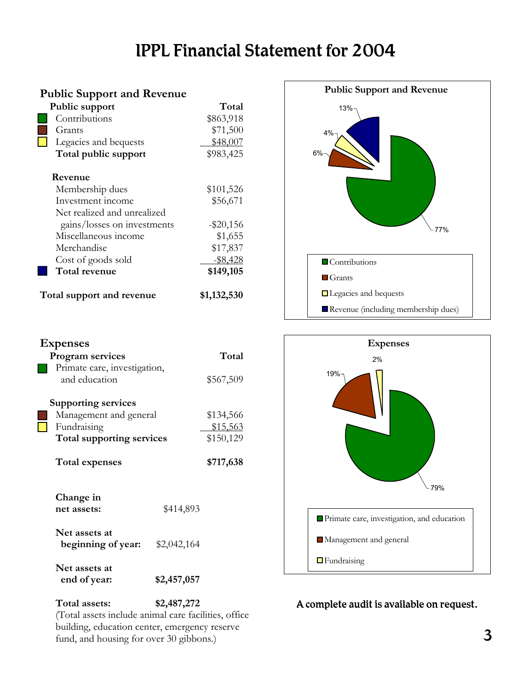# IPPL Financial Statement for 2004

| <b>Public Support and Revenue</b> |                             |              |
|-----------------------------------|-----------------------------|--------------|
| Public support                    |                             | Total        |
|                                   | Contributions               | \$863,918    |
|                                   | Grants                      | \$71,500     |
|                                   | Legacies and bequests       | \$48,007     |
|                                   | Total public support        | \$983,425    |
|                                   | Revenue                     |              |
|                                   | Membership dues             | \$101,526    |
|                                   | Investment income           | \$56,671     |
|                                   | Net realized and unrealized |              |
|                                   | gains/losses on investments | $-$ \$20,156 |
|                                   | Miscellaneous income        | \$1,655      |
|                                   | Merchandise                 | \$17,837     |
|                                   | Cost of goods sold          | $-$ \$8,428  |
|                                   | Total revenue               | \$149,105    |
| Total support and revenue         |                             | \$1,132,530  |

Program services Total

Management and general \$134,566 Fundraising \$15,563 **Total supporting services** \$150,129

**Total expenses \$717,638**

**net assets:** \$414,893

 **beginning of year:** \$2,042,164

 **end of year: \$2,457,057** 

and education \$567,509

Primate care, investigation,

**Supporting services** 

**Change in** 

**Net assets at** 

**Net assets at** 

**Expenses** 





# A complete audit is available on request.

**Total assets: \$2,487,272**  (Total assets include animal care facilities, office building, education center, emergency reserve fund, and housing for over 30 gibbons.)